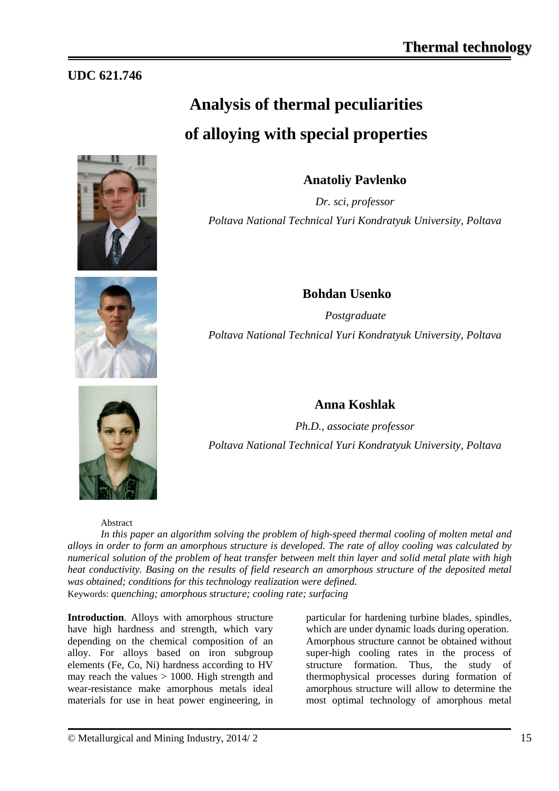# **UDC 621.746**

# **Analysis of thermal peculiarities of alloying with special properties**





**Bohdan Usenko**   *Postgraduate Poltava National Technical Yuri Kondratyuk University, Poltava*

**Anatoliy Pavlenko**

*Dr. sci, professor*

*Poltava National Technical Yuri Kondratyuk University, Poltava*

## **Anna Koshlak**

*Ph.D., associate professor Poltava National Technical Yuri Kondratyuk University, Poltava*

#### Abstract

*In this paper an algorithm solving the problem of high-speed thermal cooling of molten metal and alloys in order to form an amorphous structure is developed. The rate of alloy cooling was calculated by numerical solution of the problem of heat transfer between melt thin layer and solid metal plate with high heat conductivity. Basing on the results of field research an amorphous structure of the deposited metal was obtained; conditions for this technology realization were defined.* Keywords: *quenching; amorphous structure; cooling rate; surfacing*

**Introduction**. Alloys with amorphous structure have high hardness and strength, which vary depending on the chemical composition of an alloy. For alloys based on iron subgroup elements (Fe, Co, Ni) hardness according to HV may reach the values  $> 1000$ . High strength and wear-resistance make amorphous metals ideal materials for use in heat power engineering, in particular for hardening turbine blades, spindles, which are under dynamic loads during operation. Amorphous structure cannot be obtained without super-high cooling rates in the process of structure formation. Thus, the study of thermophysical processes during formation of amorphous structure will allow to determine the most optimal technology of amorphous metal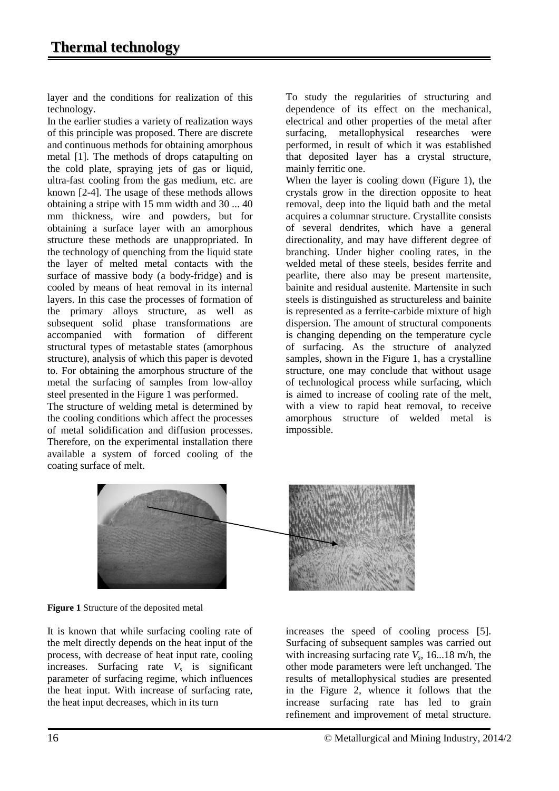layer and the conditions for realization of this technology.

In the earlier studies a variety of realization ways of this principle was proposed. There are discrete and continuous methods for obtaining amorphous metal [1]. The methods of drops catapulting on the cold plate, spraying jets of gas or liquid, ultra-fast cooling from the gas medium, etc. are known [2-4]. The usage of these methods allows obtaining a stripe with 15 mm width and 30 ... 40 mm thickness, wire and powders, but for obtaining a surface layer with an amorphous structure these methods are unappropriated. In the technology of quenching from the liquid state the layer of melted metal contacts with the surface of massive body (a body-fridge) and is cooled by means of heat removal in its internal layers. In this case the processes of formation of the primary alloys structure, as well as subsequent solid phase transformations are accompanied with formation of different structural types of metastable states (amorphous structure), analysis of which this paper is devoted to. For obtaining the amorphous structure of the metal the surfacing of samples from low-alloy steel presented in the Figure 1 was performed.

The structure of welding metal is determined by the cooling conditions which affect the processes of metal solidification and diffusion processes. Therefore, on the experimental installation there available a system of forced cooling of the coating surface of melt.

To study the regularities of structuring and dependence of its effect on the mechanical, electrical and other properties of the metal after surfacing, metallophysical researches were performed, in result of which it was established that deposited layer has a crystal structure, mainly ferritic one.

When the layer is cooling down (Figure 1), the crystals grow in the direction opposite to heat removal, deep into the liquid bath and the metal acquires a columnar structure. Crystallite consists of several dendrites, which have a general directionality, and may have different degree of branching. Under higher cooling rates, in the welded metal of these steels, besides ferrite and pearlite, there also may be present martensite, bainite and residual austenite. Martensite in such steels is distinguished as structureless and bainite is represented as a ferrite-carbide mixture of high dispersion. The amount of structural components is changing depending on the temperature cycle of surfacing. As the structure of analyzed samples, shown in the Figure 1, has a crystalline structure, one may conclude that without usage of technological process while surfacing, which is aimed to increase of cooling rate of the melt, with a view to rapid heat removal, to receive amorphous structure of welded metal is impossible.



**Figure 1** Structure of the deposited metal

It is known that while surfacing cooling rate of the melt directly depends on the heat input of the process, with decrease of heat input rate, cooling increases. Surfacing rate *Vs* is significant parameter of surfacing regime, which influences the heat input. With increase of surfacing rate, the heat input decreases, which in its turn

increases the speed of cooling process [5]. Surfacing of subsequent samples was carried out with increasing surfacing rate  $V_s$ , 16...18 m/h, the other mode parameters were left unchanged. The results of metallophysical studies are presented in the Figure 2, whence it follows that the increase surfacing rate has led to grain refinement and improvement of metal structure.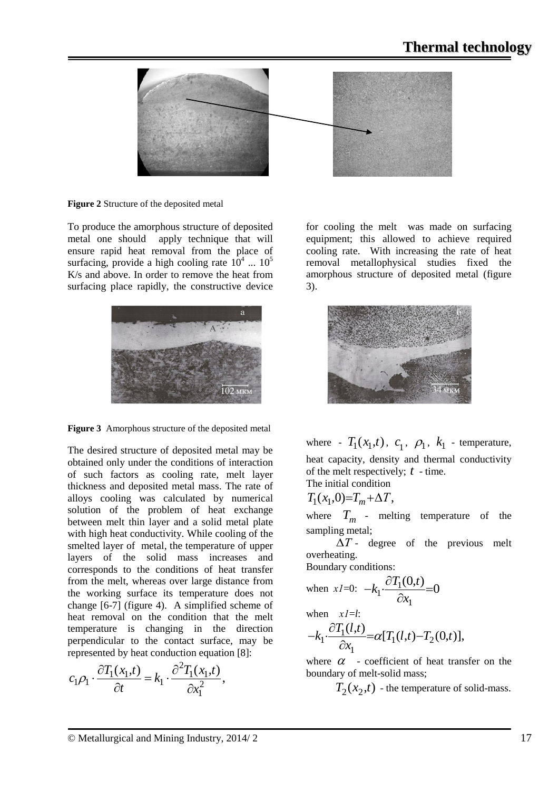

**Figure 2** Structure of the deposited metal

To produce the amorphous structure of deposited metal one should apply technique that will ensure rapid heat removal from the place of surfacing, provide a high cooling rate  $10^4$  ...  $10^5$ K/s and above. In order to remove the heat from surfacing place rapidly, the constructive device





The desired structure of deposited metal may be obtained only under the conditions of interaction of such factors as cooling rate, melt layer thickness and deposited metal mass. The rate of alloys cooling was calculated by numerical solution of the problem of heat exchange between melt thin layer and a solid metal plate with high heat conductivity. While cooling of the smelted layer of metal, the temperature of upper layers of the solid mass increases and corresponds to the conditions of heat transfer from the melt, whereas over large distance from the working surface its temperature does not change [6-7] (figure 4). A simplified scheme of heat removal on the condition that the melt temperature is changing in the direction perpendicular to the contact surface, may be represented by heat conduction equation [8]:

$$
c_1 \rho_1 \cdot \frac{\partial T_1(x_1, t)}{\partial t} = k_1 \cdot \frac{\partial^2 T_1(x_1, t)}{\partial x_1^2},
$$

for cooling the melt was made on surfacing equipment; this allowed to achieve required cooling rate. With increasing the rate of heat removal metallophysical studies fixed the amorphous structure of deposited metal (figure 3).



where -  $T_1(x_1,t)$ ,  $c_1$ ,  $\rho_1$ ,  $k_1$  - temperature, heat capacity, density and thermal conductivity of the melt respectively; *t* - time.

The initial condition

$$
T_1(x_1,0)=T_m+\Delta T,
$$

where  $T_m$  - melting temperature of the sampling metal;

 ∆*Т* - degree of the previous melt overheating.

Boundary conditions:

when 
$$
xl=0
$$
:  $-k_1 \cdot \frac{\partial T_1(0,t)}{\partial x_1} = 0$ 

when *х1*=*l*:

$$
-k_1 \cdot \frac{\partial T_1(l,t)}{\partial x_1} = \alpha [T_1(l,t) - T_2(0,t)],
$$

where  $\alpha$  - coefficient of heat transfer on the boundary of melt-solid mass;

 $T_2(x_2,t)$  - the temperature of solid-mass.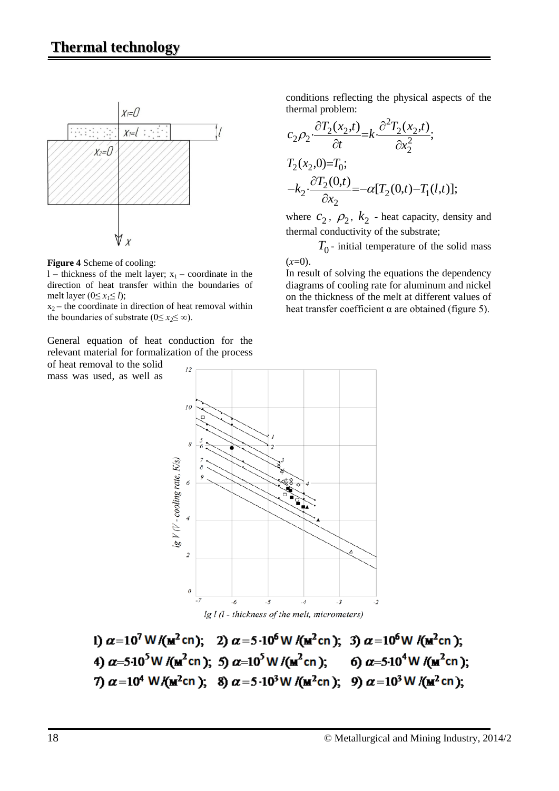

**Figure 4** Scheme of cooling:

l – thickness of the melt layer;  $x_1$  – coordinate in the direction of heat transfer within the boundaries of melt layer  $(0 \le x_i \le l)$ ;

 $x_2$  – the coordinate in direction of heat removal within the boundaries of substrate ( $0 \le x_2 \le \infty$ ).

General equation of heat conduction for the relevant material for formalization of the process

of heat removal to the solid mass was used, as well as conditions reflecting the physical aspects of the thermal problem:

$$
c_2 \rho_2 \cdot \frac{\partial T_2(x_2, t)}{\partial t} = k \cdot \frac{\partial^2 T_2(x_2, t)}{\partial x_2^2};
$$
  
\n
$$
T_2(x_2, 0) = T_0;
$$
  
\n
$$
-k_2 \cdot \frac{\partial T_2(0, t)}{\partial x_2} = -\alpha [T_2(0, t) - T_1(l, t)];
$$

where  $c_2$ ,  $\rho_2$ ,  $k_2$  - heat capacity, density and thermal conductivity of the substrate;

 $T_0$  - initial temperature of the solid mass  $(x=0)$ .

In result of solving the equations the dependency diagrams of cooling rate for aluminum and nickel on the thickness of the melt at different values of heat transfer coefficient  $α$  are obtained (figure 5).



 $lg$  l  $(l$  - thickness of the melt, micrometers)

1)  $\alpha = 10^7$  W/( $m^2$ cn); 2)  $\alpha = 5 \cdot 10^6$  W/( $m^2$ cn); 3)  $\alpha = 10^6$  W/( $m^2$ cn); 4)  $\alpha$ =5·10<sup>5</sup>W /( $m^2$ cn); 5)  $\alpha$ =10<sup>5</sup>W /( $m^2$ cn); 6)  $\alpha$ =5·10<sup>4</sup>W /( $m^2$ cn); 7)  $\alpha$  = 10<sup>4</sup> W/( $\mu$ <sup>2</sup>cn); 8)  $\alpha$  = 5 · 10<sup>3</sup> W/( $\mu$ <sup>2</sup>cn); 9)  $\alpha$  = 10<sup>3</sup> W/( $\mu$ <sup>2</sup>cn);